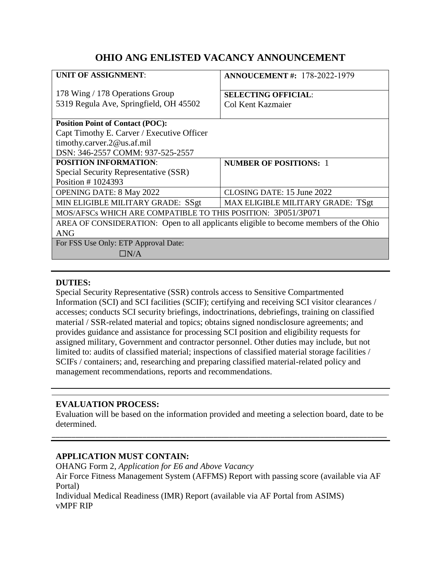# **OHIO ANG ENLISTED VACANCY ANNOUNCEMENT**

| <b>UNIT OF ASSIGNMENT:</b>                                                           | <b>ANNOUCEMENT #: 178-2022-1979</b> |
|--------------------------------------------------------------------------------------|-------------------------------------|
| 178 Wing / 178 Operations Group                                                      | <b>SELECTING OFFICIAL:</b>          |
| 5319 Regula Ave, Springfield, OH 45502                                               | Col Kent Kazmaier                   |
| <b>Position Point of Contact (POC):</b>                                              |                                     |
| Capt Timothy E. Carver / Executive Officer                                           |                                     |
| timothy.carver.2@us.af.mil                                                           |                                     |
| DSN: 346-2557 COMM: 937-525-2557                                                     |                                     |
| <b>POSITION INFORMATION:</b>                                                         | <b>NUMBER OF POSITIONS: 1</b>       |
| Special Security Representative (SSR)                                                |                                     |
| Position #1024393                                                                    |                                     |
| <b>OPENING DATE: 8 May 2022</b>                                                      | CLOSING DATE: 15 June 2022          |
| MIN ELIGIBLE MILITARY GRADE: SSgt                                                    | MAX ELIGIBLE MILITARY GRADE: TSgt   |
| MOS/AFSCs WHICH ARE COMPATIBLE TO THIS POSITION: 3P051/3P071                         |                                     |
| AREA OF CONSIDERATION: Open to all applicants eligible to become members of the Ohio |                                     |
| <b>ANG</b>                                                                           |                                     |
| For FSS Use Only: ETP Approval Date:                                                 |                                     |
| $\Box N/A$                                                                           |                                     |
|                                                                                      |                                     |

# **DUTIES:**

Special Security Representative (SSR) controls access to Sensitive Compartmented Information (SCI) and SCI facilities (SCIF); certifying and receiving SCI visitor clearances / accesses; conducts SCI security briefings, indoctrinations, debriefings, training on classified material / SSR-related material and topics; obtains signed nondisclosure agreements; and provides guidance and assistance for processing SCI position and eligibility requests for assigned military, Government and contractor personnel. Other duties may include, but not limited to: audits of classified material; inspections of classified material storage facilities / SCIFs / containers; and, researching and preparing classified material-related policy and management recommendations, reports and recommendations.

## **EVALUATION PROCESS:**

Evaluation will be based on the information provided and meeting a selection board, date to be determined.

\_\_\_\_\_\_\_\_\_\_\_\_\_\_\_\_\_\_\_\_\_\_\_\_\_\_\_\_\_\_\_\_\_\_\_\_\_\_\_\_\_\_\_\_\_\_\_\_\_\_\_\_\_\_\_\_\_\_\_\_\_\_\_\_\_\_\_\_\_\_\_\_\_\_\_\_\_\_\_\_\_\_\_\_\_

## **APPLICATION MUST CONTAIN:**

OHANG Form 2, *Application for E6 and Above Vacancy* Air Force Fitness Management System (AFFMS) Report with passing score (available via AF Portal) Individual Medical Readiness (IMR) Report (available via AF Portal from ASIMS)

vMPF RIP